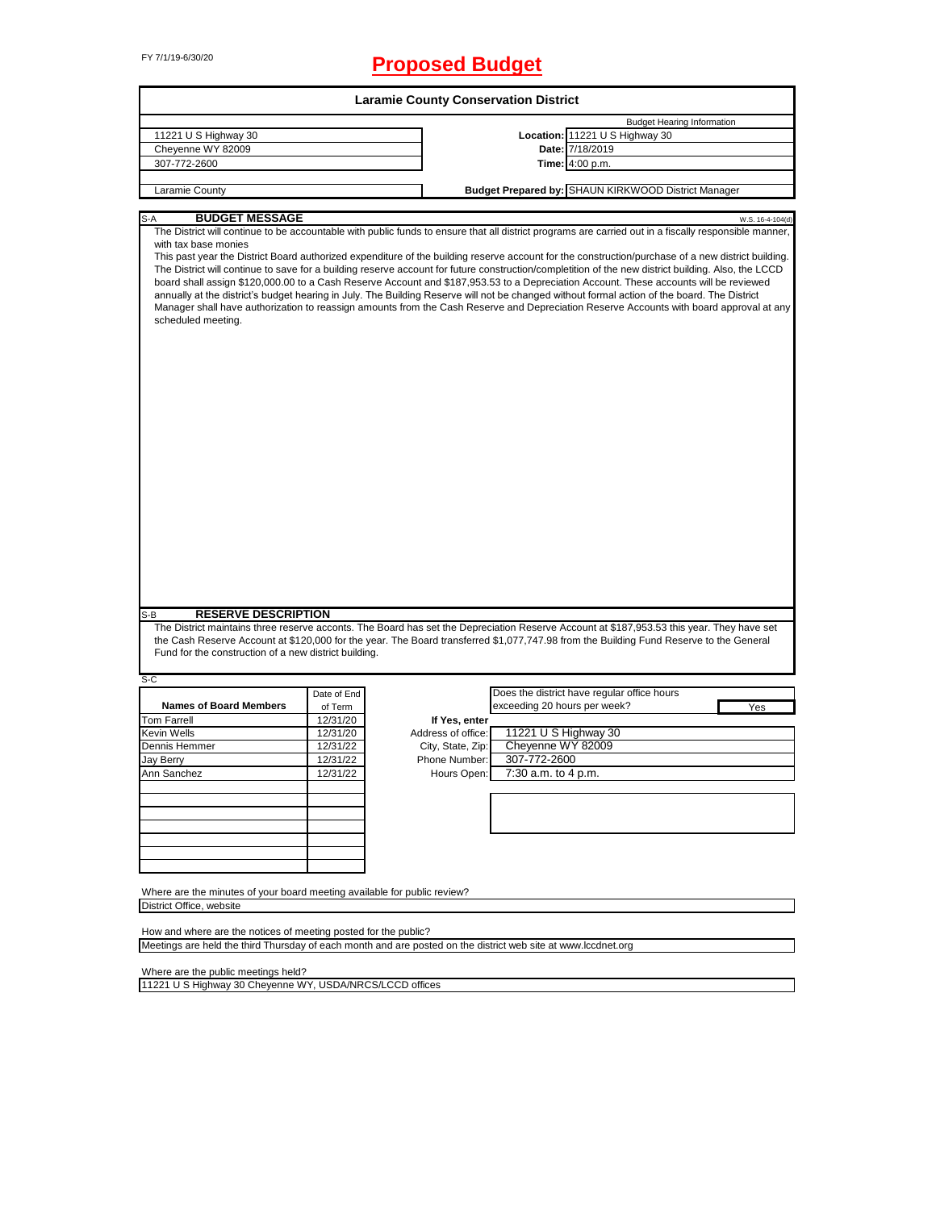# FY 7/1/19-6/30/20 **Proposed Budget**

|                                                                                                                                                                                                                                                                                                                                                                                                                                                                                                                                                                                                                                                                                                                                                                                                                                                                                                                                                                                        |                      | <b>Laramie County Conservation District</b> |                              |                                                     |                  |
|----------------------------------------------------------------------------------------------------------------------------------------------------------------------------------------------------------------------------------------------------------------------------------------------------------------------------------------------------------------------------------------------------------------------------------------------------------------------------------------------------------------------------------------------------------------------------------------------------------------------------------------------------------------------------------------------------------------------------------------------------------------------------------------------------------------------------------------------------------------------------------------------------------------------------------------------------------------------------------------|----------------------|---------------------------------------------|------------------------------|-----------------------------------------------------|------------------|
|                                                                                                                                                                                                                                                                                                                                                                                                                                                                                                                                                                                                                                                                                                                                                                                                                                                                                                                                                                                        |                      |                                             |                              | <b>Budget Hearing Information</b>                   |                  |
| 11221 U S Highway 30                                                                                                                                                                                                                                                                                                                                                                                                                                                                                                                                                                                                                                                                                                                                                                                                                                                                                                                                                                   |                      |                                             |                              | Location: 11221 U S Highway 30                      |                  |
| Cheyenne WY 82009                                                                                                                                                                                                                                                                                                                                                                                                                                                                                                                                                                                                                                                                                                                                                                                                                                                                                                                                                                      |                      |                                             |                              | Date: 7/18/2019                                     |                  |
| 307-772-2600                                                                                                                                                                                                                                                                                                                                                                                                                                                                                                                                                                                                                                                                                                                                                                                                                                                                                                                                                                           |                      |                                             |                              | Time: 4:00 p.m.                                     |                  |
| Laramie County                                                                                                                                                                                                                                                                                                                                                                                                                                                                                                                                                                                                                                                                                                                                                                                                                                                                                                                                                                         |                      |                                             |                              | Budget Prepared by: SHAUN KIRKWOOD District Manager |                  |
|                                                                                                                                                                                                                                                                                                                                                                                                                                                                                                                                                                                                                                                                                                                                                                                                                                                                                                                                                                                        |                      |                                             |                              |                                                     |                  |
| <b>BUDGET MESSAGE</b><br>$S-A$<br>The District will continue to be accountable with public funds to ensure that all district programs are carried out in a fiscally responsible manner,<br>with tax base monies<br>This past year the District Board authorized expenditure of the building reserve account for the construction/purchase of a new district building.<br>The District will continue to save for a building reserve account for future construction/completition of the new district building. Also, the LCCD<br>board shall assign \$120,000.00 to a Cash Reserve Account and \$187,953.53 to a Depreciation Account. These accounts will be reviewed<br>annually at the district's budget hearing in July. The Building Reserve will not be changed without formal action of the board. The District<br>Manager shall have authorization to reassign amounts from the Cash Reserve and Depreciation Reserve Accounts with board approval at any<br>scheduled meeting. |                      |                                             |                              |                                                     | W.S. 16-4-104(d) |
|                                                                                                                                                                                                                                                                                                                                                                                                                                                                                                                                                                                                                                                                                                                                                                                                                                                                                                                                                                                        |                      |                                             |                              |                                                     |                  |
| <b>RESERVE DESCRIPTION</b><br>S-B<br>The District maintains three reserve acconts. The Board has set the Depreciation Reserve Account at \$187,953.53 this year. They have set<br>the Cash Reserve Account at \$120,000 for the year. The Board transferred \$1,077,747.98 from the Building Fund Reserve to the General<br>Fund for the construction of a new district building.                                                                                                                                                                                                                                                                                                                                                                                                                                                                                                                                                                                                      |                      |                                             |                              |                                                     |                  |
| $S-C$                                                                                                                                                                                                                                                                                                                                                                                                                                                                                                                                                                                                                                                                                                                                                                                                                                                                                                                                                                                  |                      |                                             |                              | Does the district have regular office hours         |                  |
| <b>Names of Board Members</b>                                                                                                                                                                                                                                                                                                                                                                                                                                                                                                                                                                                                                                                                                                                                                                                                                                                                                                                                                          | Date of End          |                                             | exceeding 20 hours per week? |                                                     |                  |
| <b>Tom Farrell</b>                                                                                                                                                                                                                                                                                                                                                                                                                                                                                                                                                                                                                                                                                                                                                                                                                                                                                                                                                                     | of Term              |                                             |                              |                                                     | Yes              |
| <b>Kevin Wells</b>                                                                                                                                                                                                                                                                                                                                                                                                                                                                                                                                                                                                                                                                                                                                                                                                                                                                                                                                                                     | 12/31/20<br>12/31/20 | If Yes, enter<br>Address of office:         | 11221 U S Highway 30         |                                                     |                  |
|                                                                                                                                                                                                                                                                                                                                                                                                                                                                                                                                                                                                                                                                                                                                                                                                                                                                                                                                                                                        |                      |                                             |                              |                                                     |                  |
| Dennis Hemmer                                                                                                                                                                                                                                                                                                                                                                                                                                                                                                                                                                                                                                                                                                                                                                                                                                                                                                                                                                          | 12/31/22             | City, State, Zip:                           | Cheyenne WY 82009            |                                                     |                  |
| Jay Berry                                                                                                                                                                                                                                                                                                                                                                                                                                                                                                                                                                                                                                                                                                                                                                                                                                                                                                                                                                              | 12/31/22             | Phone Number:                               | 307-772-2600                 |                                                     |                  |
| Ann Sanchez                                                                                                                                                                                                                                                                                                                                                                                                                                                                                                                                                                                                                                                                                                                                                                                                                                                                                                                                                                            | 12/31/22             | Hours Open:                                 | 7:30 a.m. to 4 p.m.          |                                                     |                  |
|                                                                                                                                                                                                                                                                                                                                                                                                                                                                                                                                                                                                                                                                                                                                                                                                                                                                                                                                                                                        |                      |                                             |                              |                                                     |                  |
|                                                                                                                                                                                                                                                                                                                                                                                                                                                                                                                                                                                                                                                                                                                                                                                                                                                                                                                                                                                        |                      |                                             |                              |                                                     |                  |
|                                                                                                                                                                                                                                                                                                                                                                                                                                                                                                                                                                                                                                                                                                                                                                                                                                                                                                                                                                                        |                      |                                             |                              |                                                     |                  |
|                                                                                                                                                                                                                                                                                                                                                                                                                                                                                                                                                                                                                                                                                                                                                                                                                                                                                                                                                                                        |                      |                                             |                              |                                                     |                  |
|                                                                                                                                                                                                                                                                                                                                                                                                                                                                                                                                                                                                                                                                                                                                                                                                                                                                                                                                                                                        |                      |                                             |                              |                                                     |                  |
| Where are the minutes of your board meeting available for public review?<br>District Office, website                                                                                                                                                                                                                                                                                                                                                                                                                                                                                                                                                                                                                                                                                                                                                                                                                                                                                   |                      |                                             |                              |                                                     |                  |
| How and where are the notices of meeting posted for the public?                                                                                                                                                                                                                                                                                                                                                                                                                                                                                                                                                                                                                                                                                                                                                                                                                                                                                                                        |                      |                                             |                              |                                                     |                  |
| Meetings are held the third Thursday of each month and are posted on the district web site at www.lccdnet.org                                                                                                                                                                                                                                                                                                                                                                                                                                                                                                                                                                                                                                                                                                                                                                                                                                                                          |                      |                                             |                              |                                                     |                  |

Where are the public meetings held?

11221 U S Highway 30 Cheyenne WY, USDA/NRCS/LCCD offices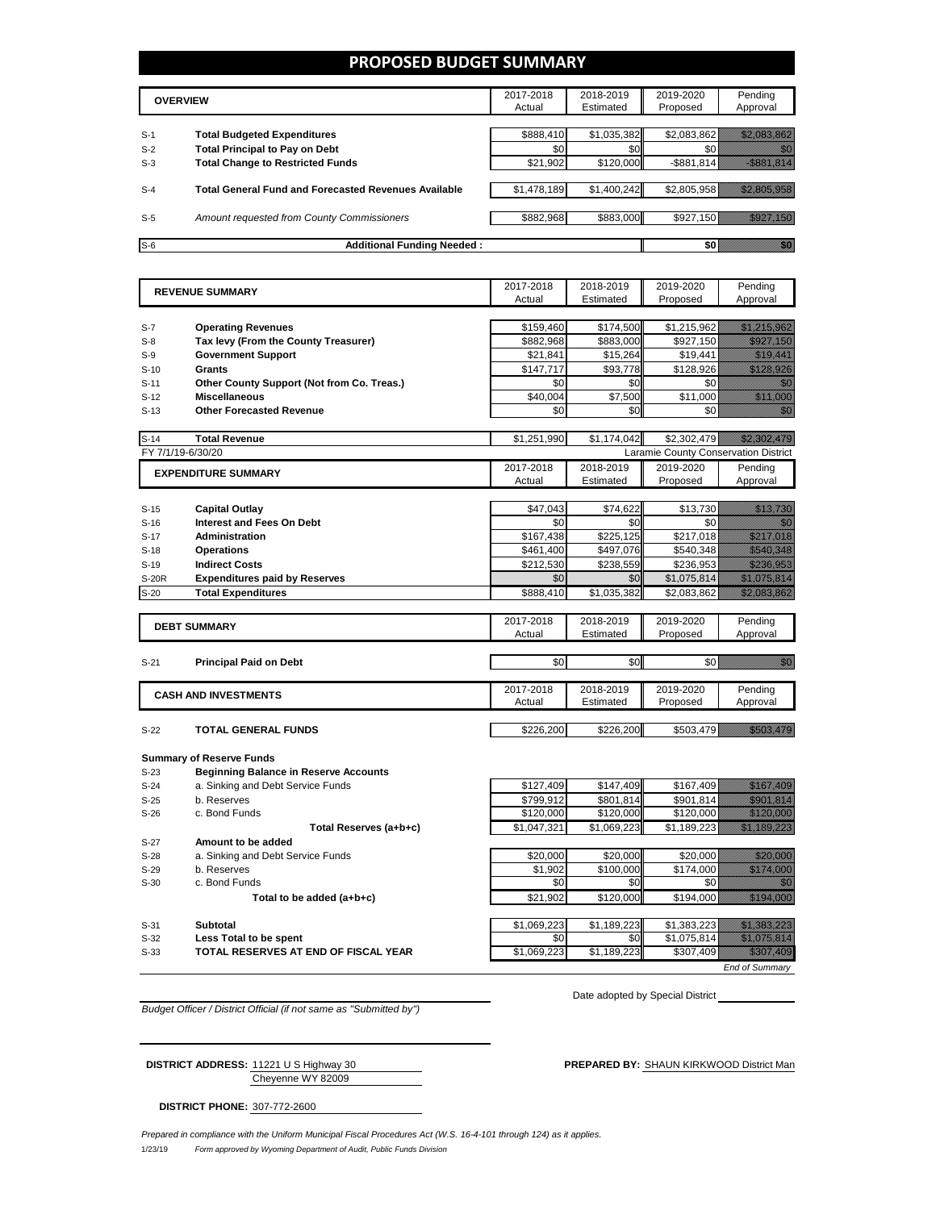### **PROPOSED BUDGET SUMMARY**

|       | <b>OVERVIEW</b>                                             | 2017-2018<br>Actual | 2018-2019<br>Estimated | 2019-2020<br>Proposed | Pending<br>Approval |
|-------|-------------------------------------------------------------|---------------------|------------------------|-----------------------|---------------------|
| $S-1$ | <b>Total Budgeted Expenditures</b>                          | \$888,410           | \$1,035,382            | \$2,083,862           |                     |
| $S-2$ | <b>Total Principal to Pay on Debt</b>                       | \$0                 | \$0 <sub>1</sub>       |                       |                     |
| $S-3$ | <b>Total Change to Restricted Funds</b>                     | \$21,902            | \$120,000              | $-$ \$881,814         |                     |
|       |                                                             |                     |                        |                       |                     |
| $S-4$ | <b>Total General Fund and Forecasted Revenues Available</b> | \$1,478,189         | \$1,400,242            | \$2,805,958           |                     |
|       |                                                             |                     |                        |                       |                     |
| $S-5$ | Amount requested from County Commissioners                  | \$882,968           | \$883,000              | \$927.150             |                     |
| $S-6$ | <b>Additional Funding Needed:</b>                           |                     |                        |                       |                     |

|                        |                                              | 2017-2018   | 2018-2019   | 2019-2020                            | Pending                                                                                                                                                                                                                          |
|------------------------|----------------------------------------------|-------------|-------------|--------------------------------------|----------------------------------------------------------------------------------------------------------------------------------------------------------------------------------------------------------------------------------|
| <b>REVENUE SUMMARY</b> |                                              | Actual      | Estimated   | Proposed                             | Approval                                                                                                                                                                                                                         |
|                        |                                              |             |             |                                      |                                                                                                                                                                                                                                  |
| $S-7$                  | <b>Operating Revenues</b>                    | \$159,460   | \$174,500   | \$1,215,962                          | <u>stalining at</u>                                                                                                                                                                                                              |
| $S-8$                  | Tax levy (From the County Treasurer)         | \$882,968   | \$883,000   | \$927,150                            | <u> Helli Million S</u>                                                                                                                                                                                                          |
| $S-9$                  | <b>Government Support</b>                    | \$21,841    | \$15,264    | \$19,441                             | <u>Tilling</u>                                                                                                                                                                                                                   |
| $S-10$                 | <b>Grants</b>                                | \$147.717   | \$93,778    | \$128,926                            | <u> Hillingar o</u>                                                                                                                                                                                                              |
| $S-11$                 | Other County Support (Not from Co. Treas.)   | \$0         | \$0         | \$0                                  | 11                                                                                                                                                                                                                               |
| $S-12$                 | <b>Miscellaneous</b>                         | \$40.004    | \$7,500     | \$11,000                             | <u>tik kuningan di kacamatan di kacamatan di kacamatan di kacamatan di kacamatan di kacamatan di kacamatan di ka</u>                                                                                                             |
| $S-13$                 | <b>Other Forecasted Revenue</b>              | \$0         | \$0         | \$0                                  | en de la familie de la familie de la familie de la familie de la familie de la familie de la familie de la fam<br>De la familie de la familie de la familie de la familie de la familie de la familie de la familie de la famili |
|                        |                                              |             |             |                                      |                                                                                                                                                                                                                                  |
| $S-14$                 | <b>Total Revenue</b>                         | \$1,251,990 | \$1.174.042 | \$2,302,479                          | <u>radioadd ar y c</u>                                                                                                                                                                                                           |
|                        | FY 7/1/19-6/30/20                            |             |             | Laramie County Conservation District |                                                                                                                                                                                                                                  |
|                        | <b>EXPENDITURE SUMMARY</b>                   | 2017-2018   | 2018-2019   | 2019-2020                            | Pending                                                                                                                                                                                                                          |
|                        |                                              | Actual      | Estimated   | Proposed                             | Approval                                                                                                                                                                                                                         |
|                        |                                              |             |             |                                      |                                                                                                                                                                                                                                  |
| $S-15$                 | <b>Capital Outlay</b>                        | \$47,043    | \$74,622    | \$13,730                             | <u> Karlin Mariji</u>                                                                                                                                                                                                            |
| $S-16$                 | <b>Interest and Fees On Debt</b>             | \$0         | \$0         | \$0                                  | <u>film</u>                                                                                                                                                                                                                      |
| $S-17$                 | <b>Administration</b>                        | \$167,438   | \$225,125   | \$217,018                            | <u>Sililikuutiooni</u>                                                                                                                                                                                                           |
| $S-18$                 | <b>Operations</b>                            | \$461,400   | \$497,076   | \$540,348                            | <u>tik kollektik k</u>                                                                                                                                                                                                           |
| $S-19$                 | <b>Indirect Costs</b>                        | \$212,530   | \$238,559   | \$236,953                            | <u> Maria Ma</u>                                                                                                                                                                                                                 |
| <b>S-20R</b>           | <b>Expenditures paid by Reserves</b>         | \$0         | \$0         | \$1,075,814                          | <u> Kalèndher Ka</u>                                                                                                                                                                                                             |
| $S-20$                 | <b>Total Expenditures</b>                    | \$888,410   | \$1,035,382 | \$2,083,862                          | <u> Eliteratural e</u>                                                                                                                                                                                                           |
|                        |                                              |             |             |                                      |                                                                                                                                                                                                                                  |
|                        | <b>DEBT SUMMARY</b>                          | 2017-2018   | 2018-2019   | 2019-2020                            | Pending                                                                                                                                                                                                                          |
|                        |                                              | Actual      | Estimated   | Proposed                             | Approval                                                                                                                                                                                                                         |
| $S-21$                 | <b>Principal Paid on Debt</b>                | \$0         | \$0         | \$0                                  | <u>Miller</u>                                                                                                                                                                                                                    |
|                        |                                              |             |             |                                      |                                                                                                                                                                                                                                  |
|                        | <b>CASH AND INVESTMENTS</b>                  | 2017-2018   | 2018-2019   | 2019-2020                            | Pending                                                                                                                                                                                                                          |
|                        |                                              | Actual      | Estimated   | Proposed                             | Approval                                                                                                                                                                                                                         |
|                        |                                              |             |             |                                      |                                                                                                                                                                                                                                  |
| $S-22$                 | <b>TOTAL GENERAL FUNDS</b>                   | \$226,200   | \$226,200   | \$503,479                            | <u> Historial Santa Colo</u>                                                                                                                                                                                                     |
|                        |                                              |             |             |                                      |                                                                                                                                                                                                                                  |
|                        | <b>Summary of Reserve Funds</b>              |             |             |                                      |                                                                                                                                                                                                                                  |
| $S-23$                 | <b>Beginning Balance in Reserve Accounts</b> |             |             |                                      |                                                                                                                                                                                                                                  |
| $S-24$                 | a. Sinking and Debt Service Funds            | \$127,409   | \$147,409   | \$167,409                            | <u> Historian Santa Barat (</u>                                                                                                                                                                                                  |
| $S-25$                 | b. Reserves                                  | \$799,912   | \$801,814   | \$901,814                            | <b>Santa Marita Bara</b>                                                                                                                                                                                                         |
| $S-26$                 | c. Bond Funds                                | \$120,000   | \$120.000   | \$120,000                            | <u> Hillian Sa</u>                                                                                                                                                                                                               |
|                        | Total Reserves (a+b+c)                       | \$1,047,321 | \$1,069,223 | \$1,189,223                          | <u> Kalendari September</u>                                                                                                                                                                                                      |
| $S-27$                 | Amount to be added                           |             |             |                                      |                                                                                                                                                                                                                                  |
| $S-28$                 | a. Sinking and Debt Service Funds            | \$20,000    | \$20,000    | \$20,000                             | <u> Maria Ma</u>                                                                                                                                                                                                                 |
| $S-29$                 | b. Reserves                                  | \$1,902     | \$100,000   | \$174,000                            | <u> Hillian Saa</u>                                                                                                                                                                                                              |
| $S-30$                 | c. Bond Funds                                | \$0         | \$0         | \$0                                  | - 19                                                                                                                                                                                                                             |
|                        | Total to be added (a+b+c)                    | \$21.902    | \$120,000   | \$194.000                            | <u>amin'ny fivondronan-</u>                                                                                                                                                                                                      |
|                        |                                              |             |             |                                      |                                                                                                                                                                                                                                  |

S-31 **Subtotal** \$1,069,223 \$1,189,223 \$1,383,223 \$1,383,223 **S-32 Less Total to be spent be spent be a set of the set of the set of the set of the set of the set of the set of the set of the set of the set of the set of the set of the set of the set of the set of the set of t S-33 TOTAL RESERVES AT END OF FISCAL YEAR 6 1,069,223** \$1,189,223 \$307,409 \$307,409 *End of Summary*

*Budget Officer / District Official (if not same as "Submitted by")*

Date adopted by Special District

Cheyenne WY 82009

**DISTRICT PHONE:** 307-772-2600

**DISTRICT ADDRESS:** 11221 U S Highway 30 **PREPARED BY:** SHAUN KIRKWOOD District Man

1/23/19 *Form approved by Wyoming Department of Audit, Public Funds Division Prepared in compliance with the Uniform Municipal Fiscal Procedures Act (W.S. 16-4-101 through 124) as it applies.*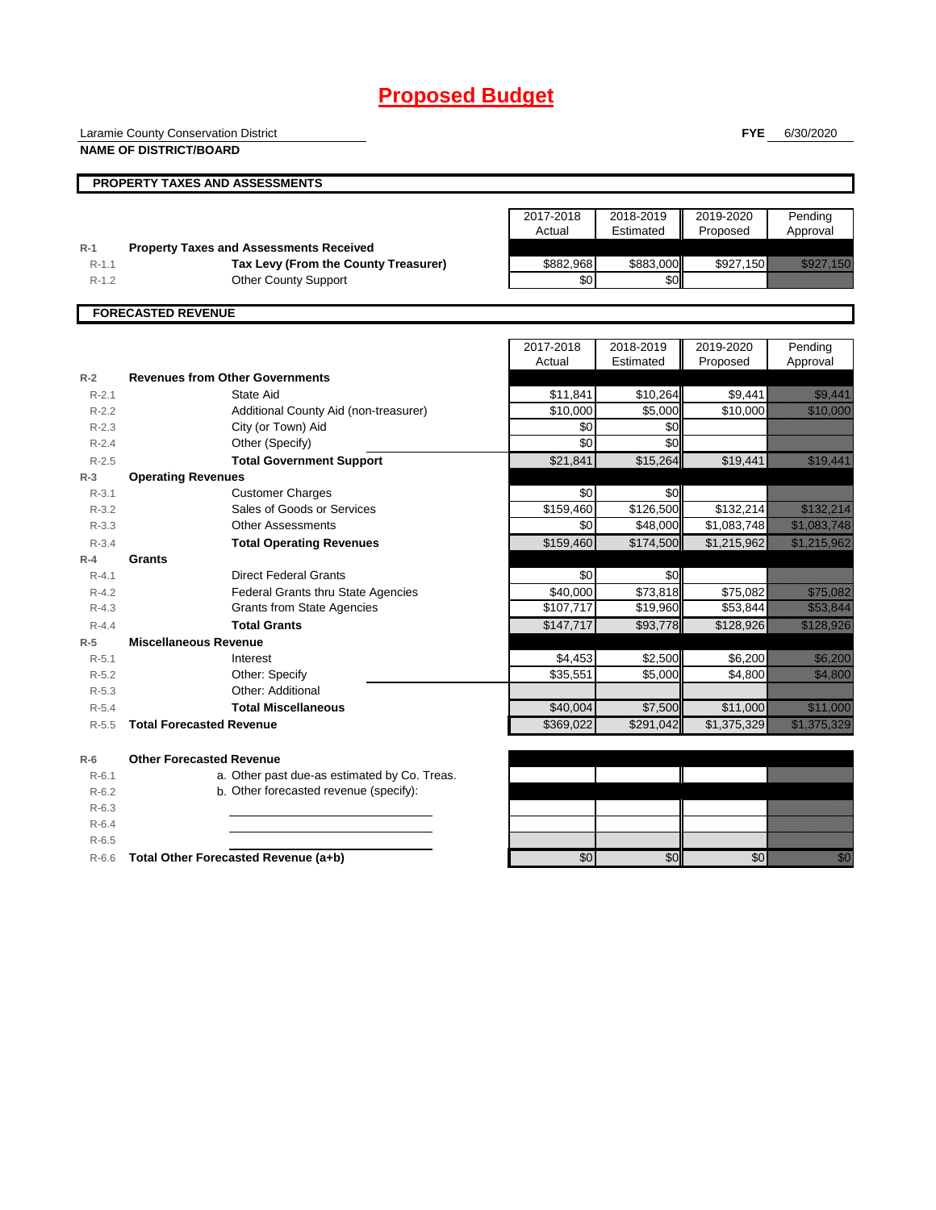# **Proposed Budget**

Laramie County Conservation District

**FYE** 6/30/2020

|                    | <b>NAME OF DISTRICT/BOARD</b>                                                          |           |                 |                      |                                                                                                                                                                                                                                  |
|--------------------|----------------------------------------------------------------------------------------|-----------|-----------------|----------------------|----------------------------------------------------------------------------------------------------------------------------------------------------------------------------------------------------------------------------------|
|                    | PROPERTY TAXES AND ASSESSMENTS                                                         |           |                 |                      |                                                                                                                                                                                                                                  |
|                    |                                                                                        |           |                 |                      |                                                                                                                                                                                                                                  |
|                    |                                                                                        | 2017-2018 | 2018-2019       | 2019-2020            | Pending                                                                                                                                                                                                                          |
|                    |                                                                                        | Actual    | Estimated       | Proposed             | Approval                                                                                                                                                                                                                         |
| $R-1$<br>$R-1.1$   | <b>Property Taxes and Assessments Received</b><br>Tax Levy (From the County Treasurer) | \$882,968 | \$883,000       | \$927,150            | <u>est til store og e</u>                                                                                                                                                                                                        |
| $R-1.2$            | <b>Other County Support</b>                                                            | \$0       | \$0             |                      |                                                                                                                                                                                                                                  |
|                    |                                                                                        |           |                 |                      |                                                                                                                                                                                                                                  |
|                    | <b>FORECASTED REVENUE</b>                                                              |           |                 |                      |                                                                                                                                                                                                                                  |
|                    |                                                                                        | 2017-2018 | 2018-2019       | 2019-2020            | Pending                                                                                                                                                                                                                          |
|                    |                                                                                        | Actual    | Estimated       | Proposed             | Approval                                                                                                                                                                                                                         |
| $R-2$              | <b>Revenues from Other Governments</b>                                                 |           |                 |                      |                                                                                                                                                                                                                                  |
| $R - 2.1$          | State Aid                                                                              | \$11,841  | \$10,264        | \$9,441              | <u>i ka</u>                                                                                                                                                                                                                      |
| $R-2.2$            | Additional County Aid (non-treasurer)                                                  | \$10,000  | \$5,000         | \$10,000             | <u> Karl Sara</u>                                                                                                                                                                                                                |
| $R - 2.3$          | City (or Town) Aid                                                                     | \$0       | \$0             |                      |                                                                                                                                                                                                                                  |
| $R-2.4$            | Other (Specify)                                                                        | \$0       | \$0             |                      |                                                                                                                                                                                                                                  |
| $R-2.5$            | <b>Total Government Support</b>                                                        | \$21,841  | \$15,264        | \$19,441             | <u>in Mariji (</u>                                                                                                                                                                                                               |
| $R-3$              | <b>Operating Revenues</b>                                                              |           |                 |                      |                                                                                                                                                                                                                                  |
| $R-3.1$            | <b>Customer Charges</b>                                                                | \$0       | \$0             |                      |                                                                                                                                                                                                                                  |
| $R - 3.2$          | Sales of Goods or Services                                                             | \$159,460 | \$126,500       | \$132,214            | <u> Kabupatèn Bandaran Indonesia (Kabupatèn Bandaran Indonesia (Kabupatèn Bandaran Indonesia (Kabupatèn Bandaran</u>                                                                                                             |
| $R - 3.3$          | <b>Other Assessments</b>                                                               | \$0       | \$48,000        | \$1,083,748          | <u> Elizabeth Carl</u>                                                                                                                                                                                                           |
| $R - 3.4$          | <b>Total Operating Revenues</b>                                                        | \$159,460 | \$174,500       | \$1,215,962          | a katika katika katika katika katika katika katika katika katika katika katika katika katika katika katika kat<br>Katika katika katika katika katika katika katika katika katika katika katika katika katika katika katika katik |
| $R-4$              | <b>Grants</b>                                                                          |           |                 |                      |                                                                                                                                                                                                                                  |
| $R - 4.1$          | <b>Direct Federal Grants</b>                                                           | \$0       | \$0             |                      |                                                                                                                                                                                                                                  |
| $R - 4.2$          | Federal Grants thru State Agencies<br><b>Grants from State Agencies</b>                | \$40,000  | \$73,818        | \$75,082<br>\$53,844 | <u>e de la construcción de la construcción de la construcción de la construcción de la construcción de la constru</u><br><u>tion and</u>                                                                                         |
| $R-4.3$            | <b>Total Grants</b>                                                                    | \$107,717 | \$19,960        |                      | a kalendari kalendari kalendari kalendari kalendari kalendari kalendari kalendari kalendari kalendari kalendar<br>Kalendari kalendari kalendari kalendari kalendari kalendari kalendari kalendari kalendari kalendari kalendari  |
| $R - 4.4$<br>$R-5$ | <b>Miscellaneous Revenue</b>                                                           | \$147,717 | \$93,778        | \$128,926            |                                                                                                                                                                                                                                  |
| $R - 5.1$          | Interest                                                                               | \$4,453   | \$2,500         | \$6,200              | <u> Karlingan yang berasala</u>                                                                                                                                                                                                  |
| $R - 5.2$          | Other: Specify                                                                         | \$35,551  | \$5,000         | \$4,800              | <u>i ka</u>                                                                                                                                                                                                                      |
| $R-5.3$            | Other: Additional                                                                      |           |                 |                      |                                                                                                                                                                                                                                  |
| $R-5.4$            | <b>Total Miscellaneous</b>                                                             | \$40,004  | \$7,500         | \$11,000             | <u> Karl Sara</u>                                                                                                                                                                                                                |
| $R-5.5$            | <b>Total Forecasted Revenue</b>                                                        | \$369,022 | \$291,042       | \$1,375,329          | <u> Kabupatèn Tanah Baga</u>                                                                                                                                                                                                     |
|                    |                                                                                        |           |                 |                      |                                                                                                                                                                                                                                  |
| $R-6$              | <b>Other Forecasted Revenue</b>                                                        |           |                 |                      |                                                                                                                                                                                                                                  |
| $R - 6.1$          | a. Other past due-as estimated by Co. Treas.                                           |           |                 |                      |                                                                                                                                                                                                                                  |
| $R-6.2$            | b. Other forecasted revenue (specify):                                                 |           |                 |                      |                                                                                                                                                                                                                                  |
| $R-6.3$            |                                                                                        |           |                 |                      |                                                                                                                                                                                                                                  |
| $R-6.4$            |                                                                                        |           |                 |                      |                                                                                                                                                                                                                                  |
| $R-6.5$            |                                                                                        |           |                 |                      |                                                                                                                                                                                                                                  |
| $R-6.6$            | Total Other Forecasted Revenue (a+b)                                                   | \$0       | $\overline{50}$ | $\sqrt{6}$           | en de la familie de la familie de la familie de la familie de la familie de la familie de la familie de la fam<br>Constitution de la familie de la familie de la familie de la familie de la familie de la familie de la familie |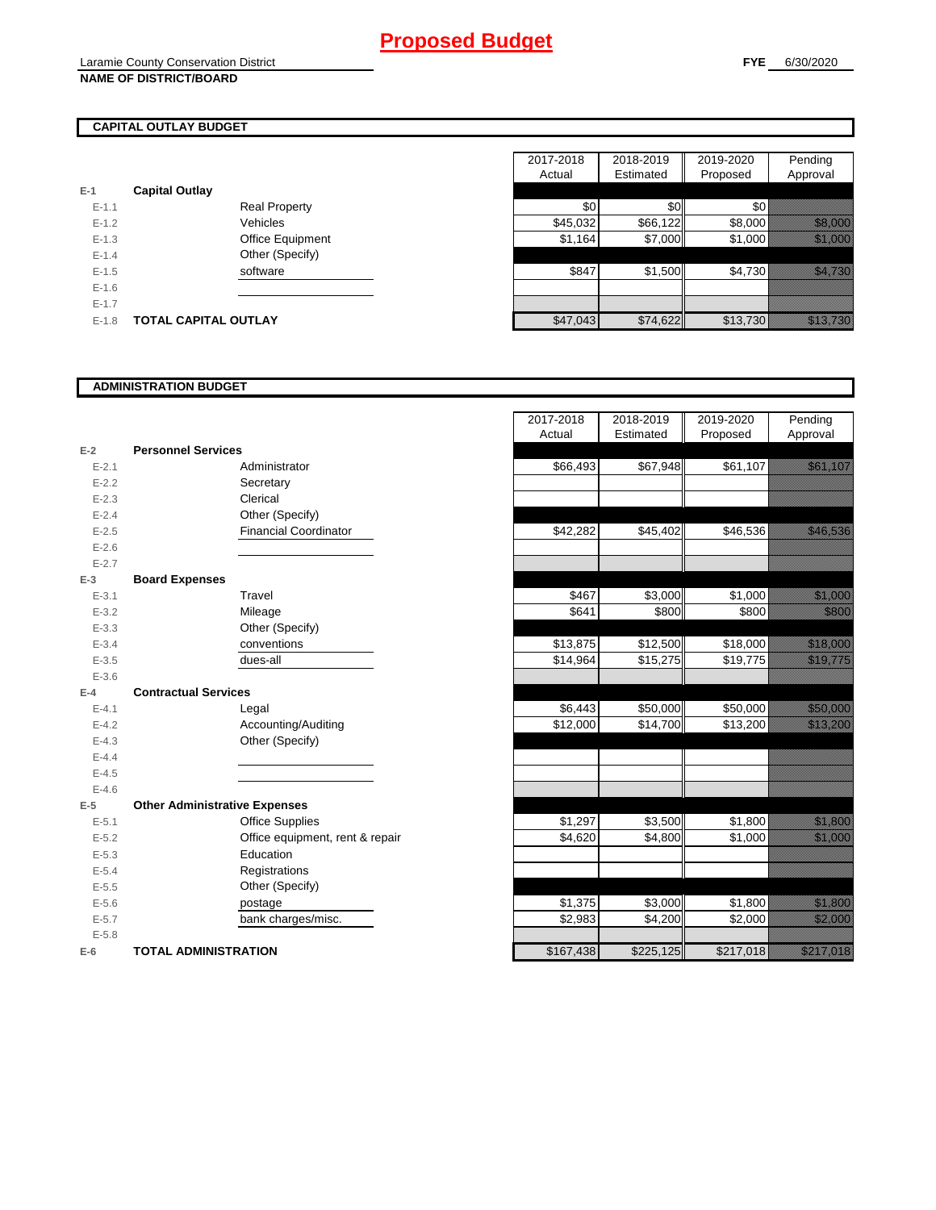## **CAPITAL OUTLAY BUDGET**

| $E-1$     | <b>Capital Outlay</b> |                         |
|-----------|-----------------------|-------------------------|
| $E - 1.1$ |                       | <b>Real Property</b>    |
| $F-12$    |                       | Vehicles                |
| $F-1.3$   |                       | <b>Office Equipment</b> |
| $F-14$    |                       | Other (Specify)         |
| $E - 1.5$ |                       | software                |
| $F-16$    |                       |                         |
| $E - 1.7$ |                       |                         |
| $E-1.8$   | TOTAL CAPITAL OUTLAY  |                         |

|           |                             |                      | 2017-2018 | 2018-2019 | 2019-2020 | Pending                                                                                                                                                                                                                          |
|-----------|-----------------------------|----------------------|-----------|-----------|-----------|----------------------------------------------------------------------------------------------------------------------------------------------------------------------------------------------------------------------------------|
|           |                             |                      | Actual    | Estimated | Proposed  | Approval                                                                                                                                                                                                                         |
|           | <b>Capital Outlay</b>       |                      |           |           |           |                                                                                                                                                                                                                                  |
| $E - 1.1$ |                             | <b>Real Property</b> | \$0       | \$0       | \$0       |                                                                                                                                                                                                                                  |
| $E - 1.2$ |                             | Vehicles             | \$45,032  | \$66,122  | \$8,000   | a katalunggal sa katalunggal sa katalunggal sa katalunggal sa katalunggal sa katalunggal sa katalunggal sa kat                                                                                                                   |
| $E-1.3$   |                             | Office Equipment     | \$1,164   | \$7,000   | \$1,000   | <u> Karl Sara</u>                                                                                                                                                                                                                |
| $E - 1.4$ |                             | Other (Specify)      |           |           |           |                                                                                                                                                                                                                                  |
| $E-1.5$   |                             | software             | \$847     | \$1,500   | \$4,730   | <u>, a chunaich</u>                                                                                                                                                                                                              |
| $E-1.6$   |                             |                      |           |           |           |                                                                                                                                                                                                                                  |
| $E - 1.7$ |                             |                      |           |           |           |                                                                                                                                                                                                                                  |
| $E-1.8$   | <b>TOTAL CAPITAL OUTLAY</b> |                      | \$47,043  | \$74,622  | \$13,730  | a katika katika katika katika katika katika katika katika katika katika katika katika katika katika katika kat<br>Katika katika katika katika katika katika katika katika katika katika katika katika katika katika katika katik |

### **ADMINISTRATION BUDGET**

| $E-2$     | <b>Personnel Services</b>            |                               |
|-----------|--------------------------------------|-------------------------------|
| $E - 2.1$ |                                      | Administrator                 |
| $E - 2.2$ |                                      | Secretary                     |
| $E - 2.3$ |                                      | Clerical                      |
| $E - 2.4$ |                                      | Other (Specify)               |
| $E - 2.5$ |                                      | <b>Financial Coordinator</b>  |
| $E - 2.6$ |                                      |                               |
| $E - 2.7$ |                                      |                               |
| $E-3$     | <b>Board Expenses</b>                |                               |
| $E - 3.1$ |                                      | Travel                        |
| $E - 3.2$ |                                      | Mileage                       |
| $E - 3.3$ |                                      | Other (Specify)               |
| $E - 3.4$ |                                      | conventions                   |
| $E - 3.5$ |                                      | dues-all                      |
| $E - 3.6$ |                                      |                               |
| $E-4$     | <b>Contractual Services</b>          |                               |
| $E - 4.1$ |                                      | Legal                         |
| $E - 4.2$ |                                      | Accounting/Auditing           |
| $E - 4.3$ |                                      | Other (Specify)               |
| $E-4.4$   |                                      |                               |
| $E - 4.5$ |                                      |                               |
| $E - 4.6$ |                                      |                               |
| $E-5$     | <b>Other Administrative Expenses</b> |                               |
| $E - 5.1$ |                                      | <b>Office Supplies</b>        |
| $E - 5.2$ |                                      | Office equipment, rent & repa |
| $E - 5.3$ |                                      | Education                     |
| $E - 5.4$ |                                      | Registrations                 |
| $E - 5.5$ |                                      | Other (Specify)               |
| $E - 5.6$ |                                      | postage                       |
| $E - 5.7$ |                                      | bank charges/misc.            |
| $E - 5.8$ |                                      |                               |
| $E-6$     | TOTAL ADMINISTRATION                 |                               |

|                          |                                      | 2017-2018<br>Actual | 2018-2019<br>Estimated | 2019-2020<br>Proposed | Pending<br>Approval                                                                                                   |
|--------------------------|--------------------------------------|---------------------|------------------------|-----------------------|-----------------------------------------------------------------------------------------------------------------------|
| $\overline{\mathbf{r}}$  | <b>Personnel Services</b>            |                     |                        |                       |                                                                                                                       |
| $E - 2.1$                | Administrator                        | \$66,493            | \$67,948               | \$61,107              | <u>i serialistikan pa</u>                                                                                             |
| $E - 2.2$                | Secretary                            |                     |                        |                       |                                                                                                                       |
| $E - 2.3$                | Clerical                             |                     |                        |                       |                                                                                                                       |
| $E - 2.4$                | Other (Specify)                      |                     |                        |                       |                                                                                                                       |
| $E - 2.5$                | <b>Financial Coordinator</b>         | \$42,282            | \$45,402               | \$46,536              | <u>in Maria Santana (</u>                                                                                             |
| $E - 2.6$                |                                      |                     |                        |                       |                                                                                                                       |
| $E-2.7$                  |                                      |                     |                        |                       |                                                                                                                       |
| $\overline{\phantom{a}}$ | <b>Board Expenses</b>                |                     |                        |                       |                                                                                                                       |
| $E - 3.1$                | Travel                               | \$467               | \$3,000                | \$1,000               | <u> Hillian Sta</u>                                                                                                   |
| $E - 3.2$                | Mileage                              | \$641               | \$800                  | \$800                 | <u>ti ka</u>                                                                                                          |
| $E - 3.3$                | Other (Specify)                      |                     |                        |                       |                                                                                                                       |
| $E - 3.4$                | conventions                          | \$13,875            | $\overline{$}12,500$   | \$18,000              | <u> Kalendari Se</u>                                                                                                  |
| $E - 3.5$                | dues-all                             | \$14,964            | \$15,275               | \$19,775              | <u>in Mariji (</u>                                                                                                    |
| $E - 3.6$                |                                      |                     |                        |                       |                                                                                                                       |
| f.                       | <b>Contractual Services</b>          |                     |                        |                       |                                                                                                                       |
| $E - 4.1$                | Legal                                | \$6,443             | \$50,000               | \$50,000              | <u> Karl Sara</u>                                                                                                     |
| $E - 4.2$                | Accounting/Auditing                  | \$12,000            | \$14,700               | \$13,200              | <u> Hallingar í Heim</u>                                                                                              |
| $E - 4.3$                | Other (Specify)                      |                     |                        |                       |                                                                                                                       |
| $E - 4.4$                |                                      |                     |                        |                       |                                                                                                                       |
| $E-4.5$                  |                                      |                     |                        |                       |                                                                                                                       |
| $E - 4.6$                |                                      |                     |                        |                       |                                                                                                                       |
| $\overline{\phantom{a}}$ | <b>Other Administrative Expenses</b> |                     |                        |                       |                                                                                                                       |
| $E - 5.1$                | <b>Office Supplies</b>               | \$1,297             | \$3,500                | \$1,800               | <u>tik kara</u>                                                                                                       |
| $E - 5.2$                | Office equipment, rent & repair      | \$4.620             | \$4,800                | \$1,000               | <u> Hillinger o</u>                                                                                                   |
| $E - 5.3$                | Education                            |                     |                        |                       |                                                                                                                       |
| $E - 5.4$                | Registrations                        |                     |                        |                       |                                                                                                                       |
| $E - 5.5$                | Other (Specify)                      |                     |                        |                       |                                                                                                                       |
| $E - 5.6$                | postage                              | \$1,375             | \$3,000                | \$1,800               | <u> Karlingham (Karlingham Karlingham Karlingham Karlingham Karlingham Karlingham Karlingham Karlingham Karlingha</u> |
| $E - 5.7$                | bank charges/misc.                   | \$2,983             | \$4,200                | \$2,000               | <u> Hillian Star</u>                                                                                                  |
| $E - 5.8$                |                                      |                     |                        |                       |                                                                                                                       |
| î                        | <b>TOTAL ADMINISTRATION</b>          | \$167,438           | \$225,125              | \$217,018             | <u> Kalifornia (</u>                                                                                                  |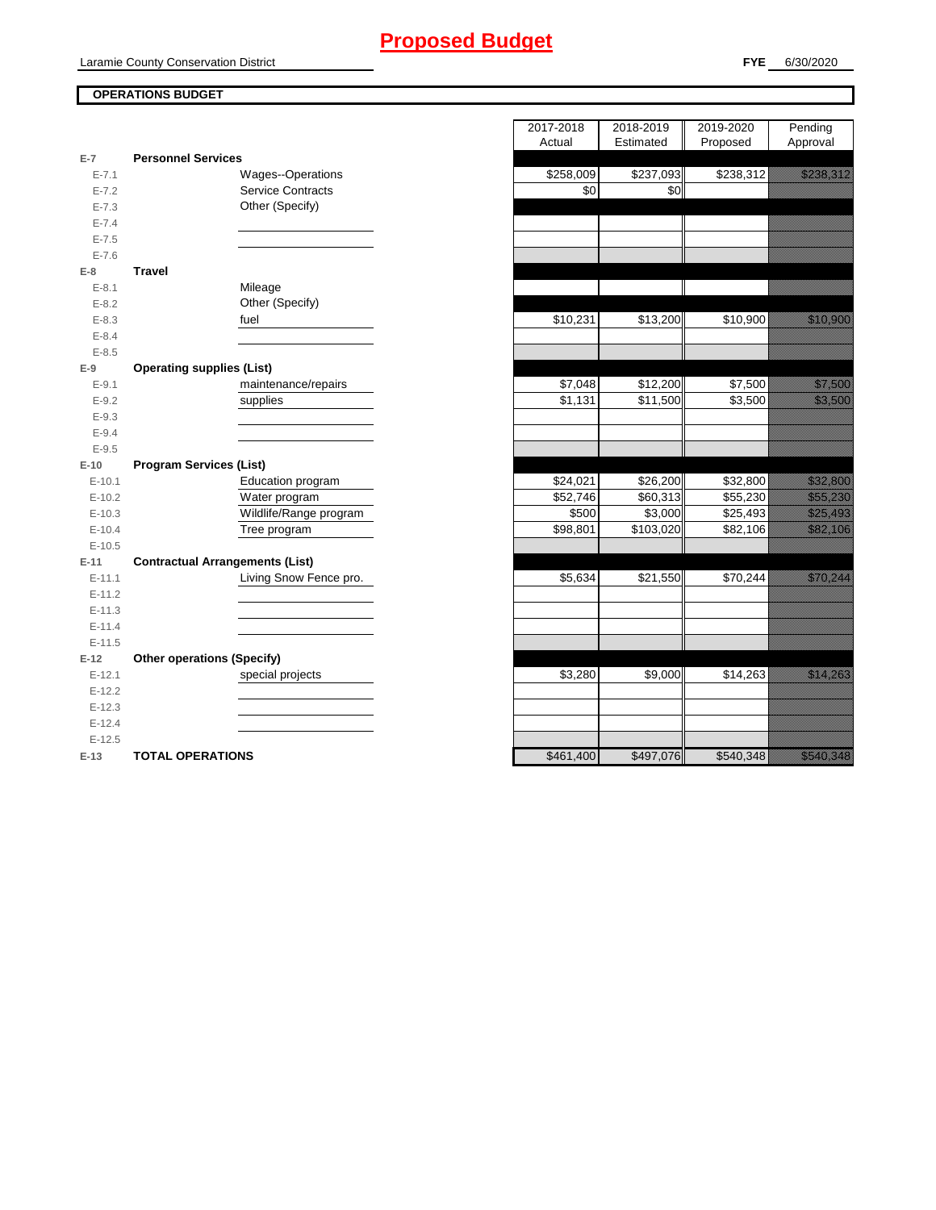# **Proposed Budget**

### **OPERATIONS BUDGET**

|           |                                        | $\cdots$  | $-$<br>- 11 -         | $1.2$ Poot $1$ | '                                                                                                                                                                                                                                |
|-----------|----------------------------------------|-----------|-----------------------|----------------|----------------------------------------------------------------------------------------------------------------------------------------------------------------------------------------------------------------------------------|
| $E-7$     | <b>Personnel Services</b>              |           |                       |                |                                                                                                                                                                                                                                  |
| $E - 7.1$ | Wages--Operations                      | \$258,009 | $\overline{$}237,093$ | \$238,312      | <u>i dheegaalaha iyo dheegaalaha iyo dheegaalaha iyo dheegaalaha iyo dheegaalaha iyo dheegaalaha iyo dheegaalaha</u>                                                                                                             |
| $E - 7.2$ | <b>Service Contracts</b>               | \$0       | \$0                   |                |                                                                                                                                                                                                                                  |
| $E - 7.3$ | Other (Specify)                        |           |                       |                |                                                                                                                                                                                                                                  |
| $E - 7.4$ |                                        |           |                       |                |                                                                                                                                                                                                                                  |
| $E - 7.5$ |                                        |           |                       |                |                                                                                                                                                                                                                                  |
| $E - 7.6$ |                                        |           |                       |                |                                                                                                                                                                                                                                  |
| $E-8$     | <b>Travel</b>                          |           |                       |                |                                                                                                                                                                                                                                  |
| $E - 8.1$ | Mileage                                |           |                       |                |                                                                                                                                                                                                                                  |
| $E - 8.2$ | Other (Specify)                        |           |                       |                |                                                                                                                                                                                                                                  |
| $E - 8.3$ | fuel                                   | \$10,231  | \$13,200              | \$10,900       | <u> Karl Sara</u>                                                                                                                                                                                                                |
| $E - 8.4$ |                                        |           |                       |                |                                                                                                                                                                                                                                  |
| $E - 8.5$ |                                        |           |                       |                |                                                                                                                                                                                                                                  |
| $E-9$     | <b>Operating supplies (List)</b>       |           |                       |                |                                                                                                                                                                                                                                  |
| $E - 9.1$ | maintenance/repairs                    | \$7,048   | \$12,200              | \$7,500        | <u>i ka</u>                                                                                                                                                                                                                      |
| $E - 9.2$ | supplies                               | \$1,131   | \$11,500              | \$3,500        | <u> Kalendaria (</u>                                                                                                                                                                                                             |
| $E - 9.3$ |                                        |           |                       |                |                                                                                                                                                                                                                                  |
| $E-9.4$   |                                        |           |                       |                |                                                                                                                                                                                                                                  |
| $E-9.5$   |                                        |           |                       |                |                                                                                                                                                                                                                                  |
| $E-10$    | <b>Program Services (List)</b>         |           |                       |                |                                                                                                                                                                                                                                  |
| $E-10.1$  | Education program                      | \$24,021  | \$26,200              | \$32,800       | a katalunggal sa katalunggal sa katalunggal sa katalunggal sa katalunggal sa katalunggal sa katalunggal sa kat                                                                                                                   |
| $E-10.2$  | Water program                          | \$52,746  | \$60,313              | \$55,230       | a katalunggal sa katalunggal sa katalunggal sa katalunggal sa katalunggal sa katalunggal sa katalunggal sa kat                                                                                                                   |
| $E-10.3$  | Wildlife/Range program                 | \$500     | \$3,000               | \$25,493       | <u>estas por estas por estas por estas por estas por estas por estas por estas por estas por estas por estas por</u>                                                                                                             |
| $E-10.4$  | Tree program                           | \$98,801  | \$103,020             | \$82,106       | <u>i seriali parti di seriali di seriali di seriali di seriali di seriali di seriali di seriali di seriali di se</u>                                                                                                             |
| $E-10.5$  |                                        |           |                       |                |                                                                                                                                                                                                                                  |
| $E-11$    | <b>Contractual Arrangements (List)</b> |           |                       |                |                                                                                                                                                                                                                                  |
| $E-11.1$  | Living Snow Fence pro.                 | \$5,634   | \$21,550              | \$70,244       | <u>in dhe që përfshën për përfshën për përfshën për përfshën për përfshën për përfshën për përfshën për përfshë</u>                                                                                                              |
| $E-11.2$  |                                        |           |                       |                |                                                                                                                                                                                                                                  |
| $E-11.3$  |                                        |           |                       |                |                                                                                                                                                                                                                                  |
| $E-11.4$  |                                        |           |                       |                |                                                                                                                                                                                                                                  |
| $E-11.5$  |                                        |           |                       |                |                                                                                                                                                                                                                                  |
| $E-12$    | <b>Other operations (Specify)</b>      |           |                       |                |                                                                                                                                                                                                                                  |
| $E-12.1$  | special projects                       | \$3,280   | \$9,000               | \$14,263       | <u> Karl Barat da</u>                                                                                                                                                                                                            |
| $E-12.2$  |                                        |           |                       |                |                                                                                                                                                                                                                                  |
| $E-12.3$  |                                        |           |                       |                |                                                                                                                                                                                                                                  |
| $E-12.4$  |                                        |           |                       |                |                                                                                                                                                                                                                                  |
| $E-12.5$  |                                        |           |                       |                |                                                                                                                                                                                                                                  |
| $E-13$    | <b>TOTAL OPERATIONS</b>                | \$461,400 | \$497,076             | \$540,348      | e all'internazionale all'internazionale all'internazionale all'internazionale all'internazionale all'internazi<br>Nel 1990 della Carlo Carlo Carlo Carlo Carlo Carlo Carlo Carlo Carlo Carlo Carlo Carlo Carlo Carlo Carlo Carlo |

|                |                                        | 2017-2018                | 2018-2019 | 2019-2020 | Pending                                                                                                                                                                                                                          |
|----------------|----------------------------------------|--------------------------|-----------|-----------|----------------------------------------------------------------------------------------------------------------------------------------------------------------------------------------------------------------------------------|
|                |                                        | Actual                   | Estimated | Proposed  | Approval                                                                                                                                                                                                                         |
| $\overline{7}$ | <b>Personnel Services</b>              |                          |           |           |                                                                                                                                                                                                                                  |
| $E - 7.1$      | Wages--Operations                      | \$258,009                | \$237,093 | \$238,312 | <u>e de la provincia de la pro</u>                                                                                                                                                                                               |
| $E - 7.2$      | <b>Service Contracts</b>               | \$0                      | \$0       |           |                                                                                                                                                                                                                                  |
| $E - 7.3$      | Other (Specify)                        |                          |           |           |                                                                                                                                                                                                                                  |
| $E - 7.4$      |                                        |                          |           |           |                                                                                                                                                                                                                                  |
| $E - 7.5$      |                                        |                          |           |           |                                                                                                                                                                                                                                  |
| $E - 7.6$      |                                        |                          |           |           |                                                                                                                                                                                                                                  |
| 8              | <b>Travel</b>                          |                          |           |           |                                                                                                                                                                                                                                  |
| $E - 8.1$      | Mileage                                |                          |           |           |                                                                                                                                                                                                                                  |
| $E - 8.2$      | Other (Specify)                        |                          |           |           |                                                                                                                                                                                                                                  |
| $E - 8.3$      | fuel                                   | \$10,231                 | \$13,200  | \$10,900  | <u> Kabupatèn Ta</u>                                                                                                                                                                                                             |
| $E - 8.4$      |                                        |                          |           |           |                                                                                                                                                                                                                                  |
| $E - 8.5$      |                                        |                          |           |           |                                                                                                                                                                                                                                  |
| 9              | <b>Operating supplies (List)</b>       |                          |           |           |                                                                                                                                                                                                                                  |
| $E-9.1$        | maintenance/repairs                    | \$7,048                  | \$12,200  | \$7,500   | <u> Karlingan Sa</u>                                                                                                                                                                                                             |
| $E-9.2$        | supplies                               | \$1,131                  | \$11,500  | \$3,500   | <u>tion and the community of the community of the community of the community of the community of the community of </u>                                                                                                           |
| $E - 9.3$      |                                        |                          |           |           |                                                                                                                                                                                                                                  |
| $E - 9.4$      |                                        |                          |           |           |                                                                                                                                                                                                                                  |
| $E - 9.5$      |                                        |                          |           |           |                                                                                                                                                                                                                                  |
| 10             | <b>Program Services (List)</b>         |                          |           |           |                                                                                                                                                                                                                                  |
| $E-10.1$       | Education program                      | \$24,021                 | \$26,200  | \$32,800  | <u> Hillingar í H</u>                                                                                                                                                                                                            |
| $E-10.2$       | Water program                          | \$52,746                 | \$60,313  | \$55,230  | <u> Karl Million S</u>                                                                                                                                                                                                           |
| $E-10.3$       | Wildlife/Range program                 | \$500                    | \$3,000   | \$25,493  | <u>e de la componenta</u>                                                                                                                                                                                                        |
| $E-10.4$       | Tree program                           | \$98,801                 | \$103,020 | \$82,106  | e de la provincia de la construcción de la construcción de la construcción de la construcción de la construcci<br>En la construcción de la construcción de la construcción de la construcción de la construcción de la construcc |
| $E-10.5$       |                                        |                          |           |           |                                                                                                                                                                                                                                  |
| 11             | <b>Contractual Arrangements (List)</b> |                          |           |           |                                                                                                                                                                                                                                  |
| $E-11.1$       | Living Snow Fence pro.                 | \$5,634                  | \$21,550  | \$70,244  | <u>ilikuwa matu alikuwa mwiliofarika mwiliofarika mwiliofarika mwiliofarika mwiliofarika mwiliofarika mwiliofarik</u>                                                                                                            |
| $E-11.2$       |                                        |                          |           |           |                                                                                                                                                                                                                                  |
| $E-11.3$       |                                        |                          |           |           |                                                                                                                                                                                                                                  |
| $E-11.4$       |                                        |                          |           |           |                                                                                                                                                                                                                                  |
| $E-11.5$       |                                        |                          |           |           |                                                                                                                                                                                                                                  |
| 12             | <b>Other operations (Specify)</b>      |                          |           |           |                                                                                                                                                                                                                                  |
| $E-12.1$       | special projects                       | \$3,280                  | \$9,000   | \$14,263  | <u>era de la contrada de la contrada de la contrada de la contrada de la contrada de la contrada de la contrada d</u>                                                                                                            |
| $E-12.2$       |                                        |                          |           |           |                                                                                                                                                                                                                                  |
| $E-12.3$       |                                        |                          |           |           |                                                                                                                                                                                                                                  |
| $E-12.4$       |                                        |                          |           |           |                                                                                                                                                                                                                                  |
| $E-12.5$       |                                        |                          |           |           |                                                                                                                                                                                                                                  |
| $42 -$         | TOTAL OPERATIONS                       | $R$ <sub>461</sub> $100$ | QAOZOZ    | CFAO 318  | <u>ka ka matsa a</u>                                                                                                                                                                                                             |

ī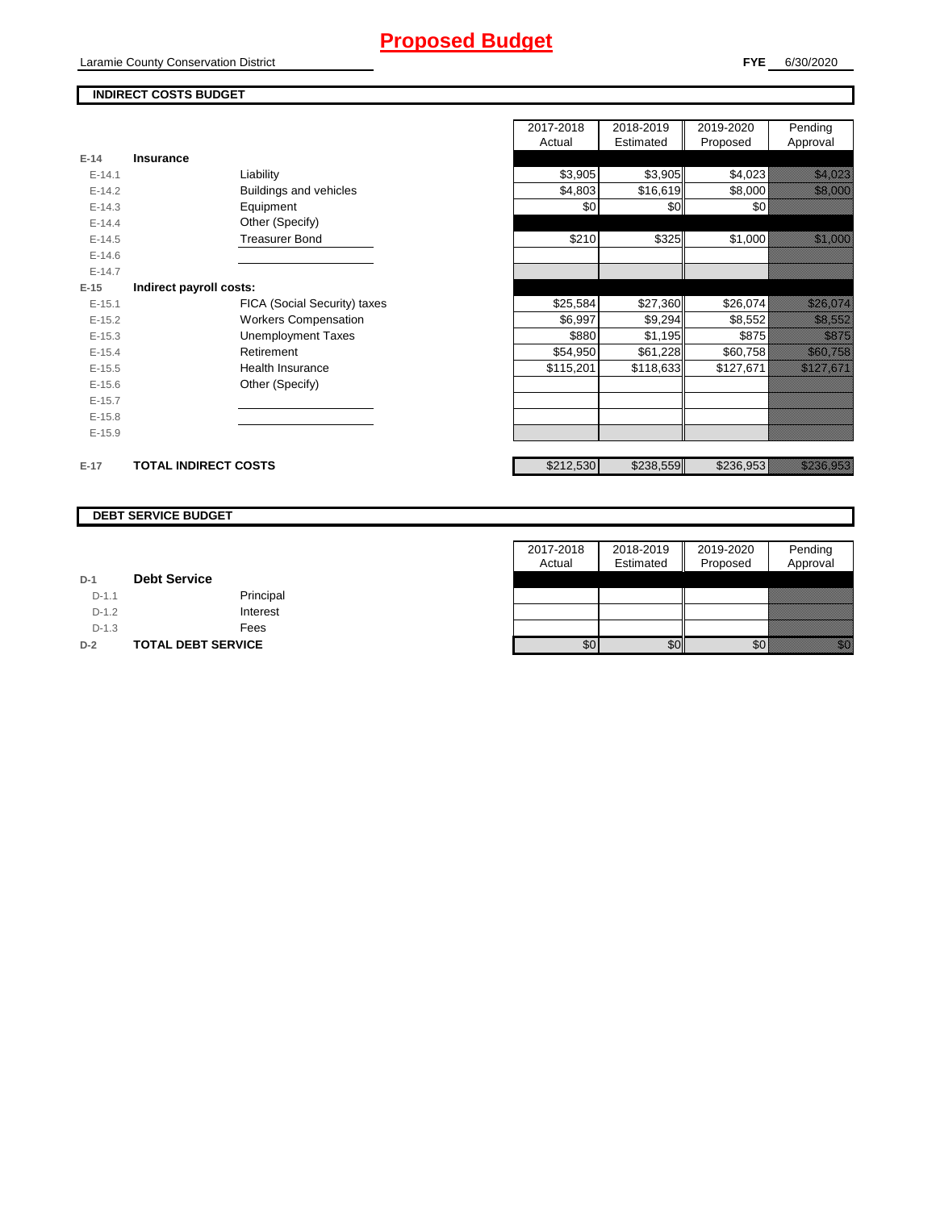# **Proposed Budget**

Laramie County Conservation District

## **INDIRECT COSTS BUDGET**

|          |                             |                              | 2017-2018 | 2018-2019 | 2019-2020 | Pending                                                                                                               |
|----------|-----------------------------|------------------------------|-----------|-----------|-----------|-----------------------------------------------------------------------------------------------------------------------|
|          |                             |                              | Actual    | Estimated | Proposed  | Approval                                                                                                              |
| $E-14$   | <b>Insurance</b>            |                              |           |           |           |                                                                                                                       |
| $E-14.1$ |                             | Liability                    | \$3,905   | \$3,905   | \$4,023   | <u> Karlin Maria Sant</u>                                                                                             |
| $E-14.2$ |                             | Buildings and vehicles       | \$4,803   | \$16,619  | \$8,000   | <u> Karlingan Sa</u>                                                                                                  |
| $E-14.3$ |                             | Equipment                    | \$0       | \$0       | \$0∤      |                                                                                                                       |
| $E-14.4$ |                             | Other (Specify)              |           |           |           |                                                                                                                       |
| $E-14.5$ |                             | <b>Treasurer Bond</b>        | \$210     | \$325     | \$1,000   | <u>tik kara</u>                                                                                                       |
| $E-14.6$ |                             |                              |           |           |           |                                                                                                                       |
| $E-14.7$ |                             |                              |           |           |           |                                                                                                                       |
| $E-15$   | Indirect payroll costs:     |                              |           |           |           |                                                                                                                       |
| $E-15.1$ |                             | FICA (Social Security) taxes | \$25,584  | \$27,360  | \$26,074  | <u>till framfördur och f</u>                                                                                          |
| $E-15.2$ |                             | <b>Workers Compensation</b>  | \$6,997   | \$9,294   | \$8,552   | <u>tik ka</u>                                                                                                         |
| $E-15.3$ |                             | <b>Unemployment Taxes</b>    | \$880     | \$1,195   | \$875     | <u> Karatifu</u>                                                                                                      |
| $E-15.4$ |                             | Retirement                   | \$54,950  | \$61,228  | \$60,758  | <u>tik alaman </u>                                                                                                    |
| $E-15.5$ |                             | Health Insurance             | \$115,201 | \$118,633 | \$127,671 | <u> Kalifornia kontroll</u>                                                                                           |
| $E-15.6$ |                             | Other (Specify)              |           |           |           |                                                                                                                       |
| $E-15.7$ |                             |                              |           |           |           |                                                                                                                       |
| $E-15.8$ |                             |                              |           |           |           |                                                                                                                       |
| $E-15.9$ |                             |                              |           |           |           |                                                                                                                       |
| $E-17$   | <b>TOTAL INDIRECT COSTS</b> |                              | \$212,530 | \$238,559 | \$236,953 | <u>ta alikuwa mwaka wa Tanzania alikuwa mwaka wa Tanzania alikuwa mwaka wa Tanzania alikuwa mwaka wa Tanzania ali</u> |

#### **DEBT SERVICE BUDGET**

|         |                           | 2017-2018 | 2018-2019 | 2019-2020 | Pending  |
|---------|---------------------------|-----------|-----------|-----------|----------|
|         |                           | Actual    | Estimated | Proposed  | Approval |
| $D-1$   | <b>Debt Service</b>       |           |           |           |          |
| $D-1.1$ | Principal                 |           |           |           |          |
| $D-1.2$ | Interest                  |           |           |           |          |
| $D-1.3$ | Fees                      |           |           |           |          |
| $D-2$   | <b>TOTAL DEBT SERVICE</b> | \$0       | \$0       | \$0       | 199      |